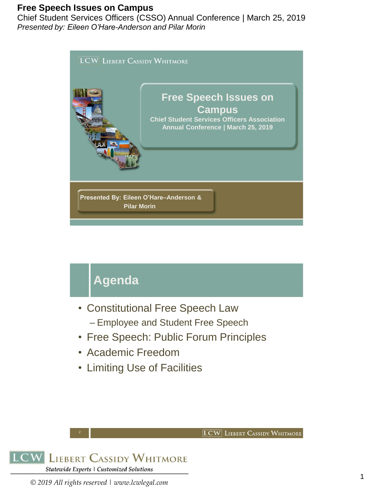Chief Student Services Officers (CSSO) Annual Conference | March 25, 2019 *Presented by: Eileen O'Hare-Anderson and Pilar Morin*



# **Agenda**

- Constitutional Free Speech Law
	- Employee and Student Free Speech
- Free Speech: Public Forum Principles

**LCW** LIEBERT CASSIDY WHITMORE

- Academic Freedom
- Limiting Use of Facilities



2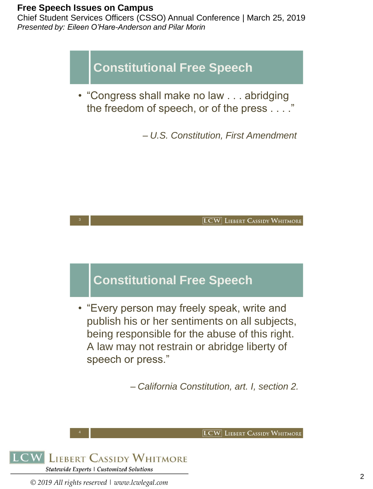3

Chief Student Services Officers (CSSO) Annual Conference | March 25, 2019 *Presented by: Eileen O'Hare-Anderson and Pilar Morin*

**Constitutional Free Speech**

• "Congress shall make no law . . . abridging the freedom of speech, or of the press . . . ."

– *U.S. Constitution, First Amendment*



### **Constitutional Free Speech**

• "Every person may freely speak, write and publish his or her sentiments on all subjects, being responsible for the abuse of this right. A law may not restrain or abridge liberty of speech or press."

– *California Constitution, art. I, section 2.*

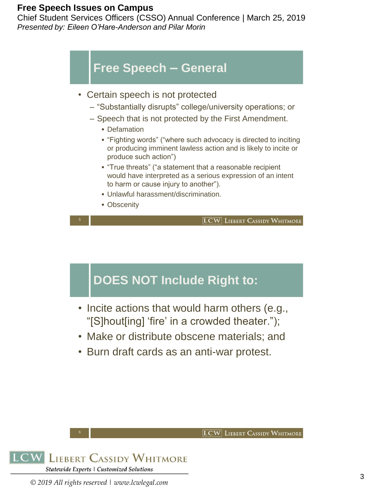Chief Student Services Officers (CSSO) Annual Conference | March 25, 2019 *Presented by: Eileen O'Hare-Anderson and Pilar Morin*



- Certain speech is not protected
	- "Substantially disrupts" college/university operations; or
	- Speech that is not protected by the First Amendment.
		- Defamation
		- "Fighting words" ("where such advocacy is directed to inciting or producing imminent lawless action and is likely to incite or produce such action")
		- "True threats" ("a statement that a reasonable recipient would have interpreted as a serious expression of an intent to harm or cause injury to another").
		- Unlawful harassment/discrimination.
		- **Obscenity**

**LCW** LIEBERT CASSIDY WHITMORE

**LCW** LIEBERT CASSIDY WHITMORE

### **DOES NOT Include Right to:**

- Incite actions that would harm others (e.g., "[S]hout[ing] 'fire' in a crowded theater.");
- Make or distribute obscene materials; and
- Burn draft cards as an anti-war protest.

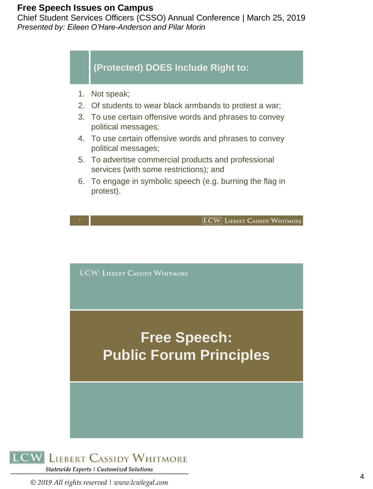7

Chief Student Services Officers (CSSO) Annual Conference | March 25, 2019 *Presented by: Eileen O'Hare-Anderson and Pilar Morin*

#### **(Protected) DOES Include Right to:**

- 1. Not speak;
- 2. Of students to wear black armbands to protest a war;
- 3. To use certain offensive words and phrases to convey political messages;
- 4. To use certain offensive words and phrases to convey political messages;
- 5. To advertise commercial products and professional services (with some restrictions); and
- 6. To engage in symbolic speech (e.g. burning the flag in protest).

[LCW] LIEBERT CASSIDY WHITMORE

**LCW** LIEBERT CASSIDY WHITMORE

# **Free Speech: Public Forum Principles**

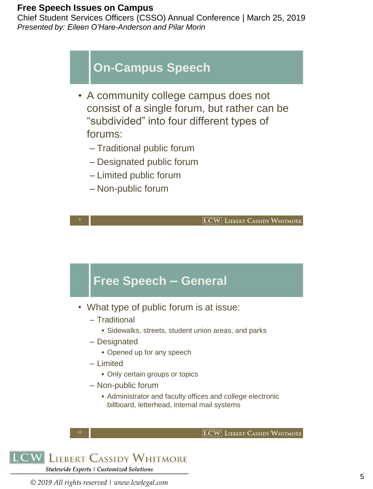Chief Student Services Officers (CSSO) Annual Conference | March 25, 2019 *Presented by: Eileen O'Hare-Anderson and Pilar Morin*

### **On-Campus Speech**

- A community college campus does not consist of a single forum, but rather can be "subdivided" into four different types of forums:
	- Traditional public forum
	- Designated public forum
	- Limited public forum
	- Non-public forum

**LCW** LIEBERT CASSIDY WHITMORE

**LCW** LIEBERT CASSIDY WHITMORE

### **Free Speech – General**

- What type of public forum is at issue:
	- Traditional
		- **E** Sidewalks, streets, student union areas, and parks
	- Designated
		- Opened up for any speech
	- Limited
		- Only certain groups or topics
	- Non-public forum
		- **EXEDENT Administrator and faculty offices and college electronic** billboard, letterhead, internal mail systems

```
LCW LIEBERT CASSIDY WHITMORE
Statewide Experts | Customized Solutions
```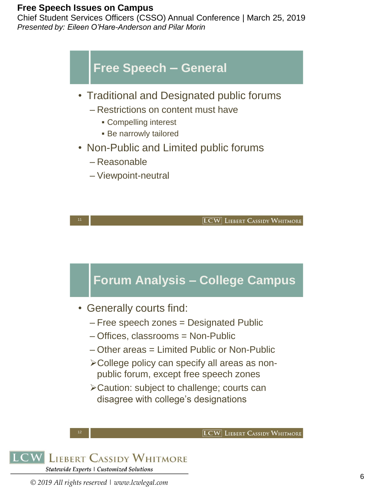Chief Student Services Officers (CSSO) Annual Conference | March 25, 2019 *Presented by: Eileen O'Hare-Anderson and Pilar Morin*

### **Free Speech – General**

- Traditional and Designated public forums
	- Restrictions on content must have
		- Compelling interest
		- **Be narrowly tailored**
- Non-Public and Limited public forums
	- Reasonable
	- Viewpoint-neutral

11

**LCW** LIEBERT CASSIDY WHITMORE

## **Forum Analysis – College Campus**

- Generally courts find:
	- Free speech zones = Designated Public
	- Offices, classrooms = Non-Public
	- Other areas = Limited Public or Non-Public
	- ➢College policy can specify all areas as nonpublic forum, except free speech zones
	- ➢Caution: subject to challenge; courts can disagree with college's designations



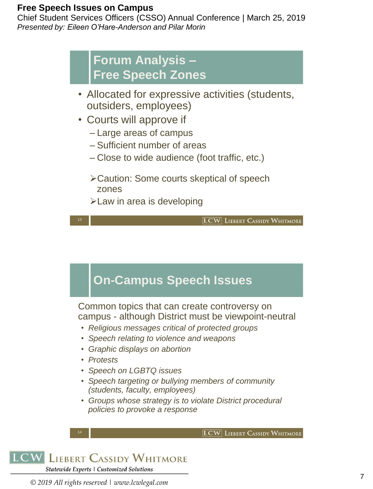Chief Student Services Officers (CSSO) Annual Conference | March 25, 2019 *Presented by: Eileen O'Hare-Anderson and Pilar Morin*

> **Forum Analysis – Free Speech Zones**

- Allocated for expressive activities (students, outsiders, employees)
- Courts will approve if
	- Large areas of campus
	- Sufficient number of areas
	- Close to wide audience (foot traffic, etc.)
	- ➢Caution: Some courts skeptical of speech zones
	- ➢Law in area is developing

**LCW** LIEBERT CASSIDY WHITMORE

### **On-Campus Speech Issues**

Common topics that can create controversy on campus - although District must be viewpoint-neutral

- *Religious messages critical of protected groups*
- *Speech relating to violence and weapons*
- *Graphic displays on abortion*
- *Protests*

13

- *Speech on LGBTQ issues*
- *Speech targeting or bullying members of community (students, faculty, employees)*
- *Groups whose strategy is to violate District procedural policies to provoke a response*



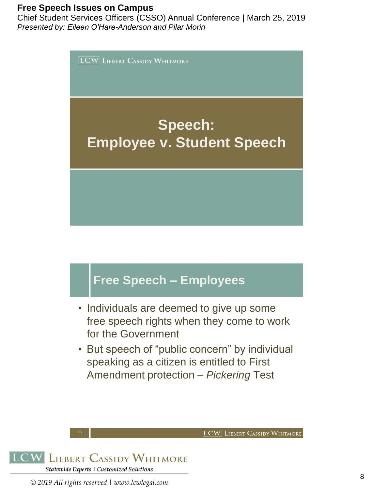Chief Student Services Officers (CSSO) Annual Conference | March 25, 2019 *Presented by: Eileen O'Hare-Anderson and Pilar Morin*

**LCW** LIEBERT CASSIDY WHITMORE

# **Speech: Employee v. Student Speech**

## **Free Speech – Employees**

- Individuals are deemed to give up some free speech rights when they come to work for the Government
- But speech of "public concern" by individual speaking as a citizen is entitled to First Amendment protection – *Pickering* Test

**LCW** LIEBERT CASSIDY WHITMORE

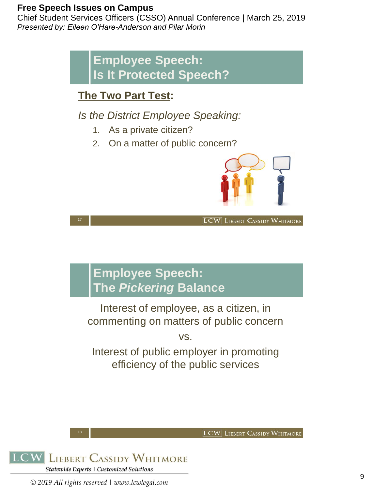17

Chief Student Services Officers (CSSO) Annual Conference | March 25, 2019 *Presented by: Eileen O'Hare-Anderson and Pilar Morin*

> **Employee Speech: Is It Protected Speech?**

### **The Two Part Test:**

*Is the District Employee Speaking:*

- 1. As a private citizen?
- 2. On a matter of public concern?



**LCW** LIEBERT CASSIDY WHITMORE

**LCW** LIEBERT CASSIDY WHITMORE

## **Employee Speech: The** *Pickering* **Balance**

Interest of employee, as a citizen, in commenting on matters of public concern

vs.

Interest of public employer in promoting efficiency of the public services



18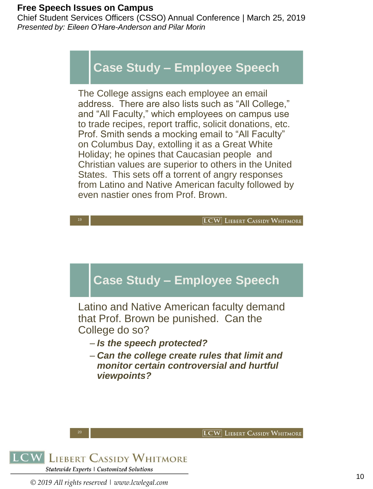Chief Student Services Officers (CSSO) Annual Conference | March 25, 2019 *Presented by: Eileen O'Hare-Anderson and Pilar Morin*

### **Case Study – Employee Speech**

The College assigns each employee an email address. There are also lists such as "All College," and "All Faculty," which employees on campus use to trade recipes, report traffic, solicit donations, etc. Prof. Smith sends a mocking email to "All Faculty" on Columbus Day, extolling it as a Great White Holiday; he opines that Caucasian people and Christian values are superior to others in the United States. This sets off a torrent of angry responses from Latino and Native American faculty followed by even nastier ones from Prof. Brown.



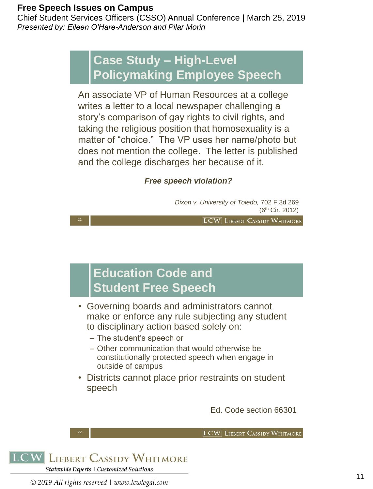21

Chief Student Services Officers (CSSO) Annual Conference | March 25, 2019 *Presented by: Eileen O'Hare-Anderson and Pilar Morin*

### **Case Study – High-Level Policymaking Employee Speech**

An associate VP of Human Resources at a college writes a letter to a local newspaper challenging a story's comparison of gay rights to civil rights, and taking the religious position that homosexuality is a matter of "choice." The VP uses her name/photo but does not mention the college. The letter is published and the college discharges her because of it.

#### *Free speech violation?*

*Dixon v. University of Toledo,* 702 F.3d 269 (6th Cir. 2012)

**LCW** LIEBERT CASSIDY WHITMORE

### **Education Code and Student Free Speech**

- Governing boards and administrators cannot make or enforce any rule subjecting any student to disciplinary action based solely on:
	- The student's speech or
	- Other communication that would otherwise be constitutionally protected speech when engage in outside of campus
- Districts cannot place prior restraints on student speech

Ed. Code section 66301

**LCW** LIEBERT CASSIDY WHITMORE

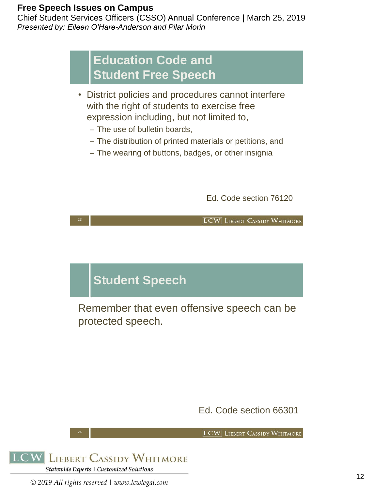23

Chief Student Services Officers (CSSO) Annual Conference | March 25, 2019 *Presented by: Eileen O'Hare-Anderson and Pilar Morin*

### **Education Code and Student Free Speech**

- District policies and procedures cannot interfere with the right of students to exercise free expression including, but not limited to,
	- The use of bulletin boards,
	- The distribution of printed materials or petitions, and
	- The wearing of buttons, badges, or other insignia

Ed. Code section 76120

**LCW** LIEBERT CASSIDY WHITMORE

### **Student Speech**

Remember that even offensive speech can be protected speech.

Ed. Code section 66301

**LCW** LIEBERT CASSIDY WHITMORE



24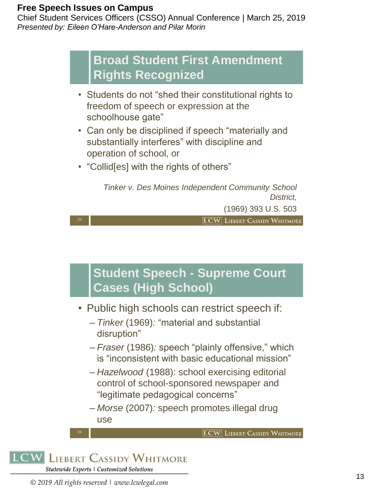25

Chief Student Services Officers (CSSO) Annual Conference | March 25, 2019 *Presented by: Eileen O'Hare-Anderson and Pilar Morin*

### **Broad Student First Amendment Rights Recognized**

- Students do not "shed their constitutional rights to freedom of speech or expression at the schoolhouse gate"
- Can only be disciplined if speech "materially and substantially interferes" with discipline and operation of school, or
- "Collid[es] with the rights of others"

*Tinker v. Des Moines Independent Community School District,*

(1969) 393 U.S. 503

**LCW** LIEBERT CASSIDY WHITMORE

## **Student Speech - Supreme Court Cases (High School)**

- Public high schools can restrict speech if:
	- *Tinker* (1969)*:* "material and substantial disruption"
	- *Fraser* (1986)*:* speech "plainly offensive," which is "inconsistent with basic educational mission"
	- *Hazelwood* (1988): school exercising editorial control of school-sponsored newspaper and "legitimate pedagogical concerns"
	- *Morse* (2007)*:* speech promotes illegal drug use

**LCW** LIEBERT CASSIDY WHITMORE

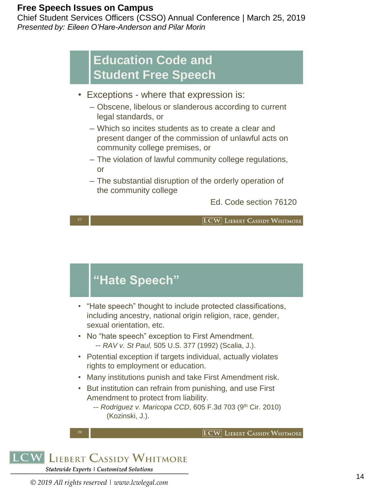Chief Student Services Officers (CSSO) Annual Conference | March 25, 2019 *Presented by: Eileen O'Hare-Anderson and Pilar Morin*

### **Education Code and Student Free Speech**

- Exceptions where that expression is:
	- Obscene, libelous or slanderous according to current legal standards, or
	- Which so incites students as to create a clear and present danger of the commission of unlawful acts on community college premises, or
	- The violation of lawful community college regulations, or
	- The substantial disruption of the orderly operation of the community college

Ed. Code section 76120

27

**LCW** LIEBERT CASSIDY WHITMORE

## **"Hate Speech"**

- "Hate speech" thought to include protected classifications, including ancestry, national origin religion, race, gender, sexual orientation, etc.
- No "hate speech" exception to First Amendment. -- *RAV v. St Paul,* 505 U.S. 377 (1992) (Scalia, J.).
- Potential exception if targets individual, actually violates rights to employment or education.
- Many institutions punish and take First Amendment risk.
- But institution can refrain from punishing, and use First Amendment to protect from liability.
	- -- *Rodriguez v. Maricopa CCD*, 605 F.3d 703 (9<sup>th</sup> Cir. 2010) (Kozinski, J.).

**LCW** LIEBERT CASSIDY WHITMORE

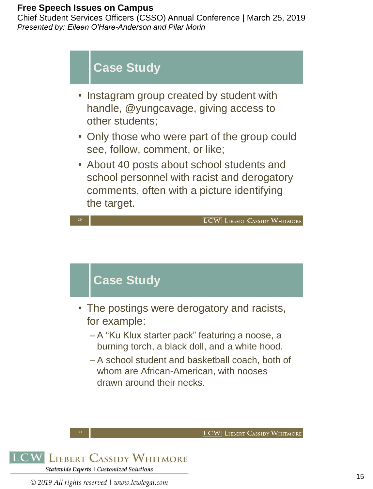Chief Student Services Officers (CSSO) Annual Conference | March 25, 2019 *Presented by: Eileen O'Hare-Anderson and Pilar Morin*



- A "Ku Klux starter pack" featuring a noose, a burning torch, a black doll, and a white hood.
- A school student and basketball coach, both of whom are African-American, with nooses drawn around their necks.

**LCW** LIEBERT CASSIDY WHITMORE



30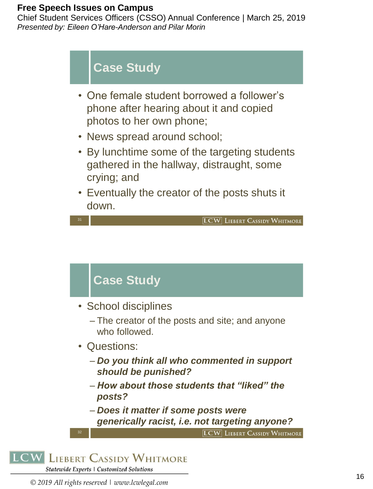31

Chief Student Services Officers (CSSO) Annual Conference | March 25, 2019 *Presented by: Eileen O'Hare-Anderson and Pilar Morin*



- One female student borrowed a follower's phone after hearing about it and copied photos to her own phone;
- News spread around school;
- By lunchtime some of the targeting students gathered in the hallway, distraught, some crying; and
- Eventually the creator of the posts shuts it down.

• School disciplines

**Case Study** 

- The creator of the posts and site; and anyone who followed.
- Questions:
	- *Do you think all who commented in support should be punished?*
	- *How about those students that "liked" the posts?*
	- *Does it matter if some posts were generically racist, i.e. not targeting anyone?*

**LCW** LIEBERT CASSIDY WHITMORE

**LCW** LIEBERT CASSIDY WHITMORE

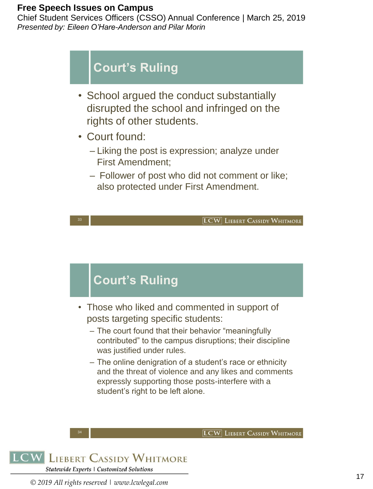33

Chief Student Services Officers (CSSO) Annual Conference | March 25, 2019 *Presented by: Eileen O'Hare-Anderson and Pilar Morin*

## **Court's Ruling**

- School argued the conduct substantially disrupted the school and infringed on the rights of other students.
- Court found:
	- Liking the post is expression; analyze under First Amendment;
	- Follower of post who did not comment or like; also protected under First Amendment.

**LCW** LIEBERT CASSIDY WHITMORE

**LCW** LIEBERT CASSIDY WHITMORE

## **Court's Ruling**

- Those who liked and commented in support of posts targeting specific students:
	- The court found that their behavior "meaningfully contributed" to the campus disruptions; their discipline was justified under rules.
	- The online denigration of a student's race or ethnicity and the threat of violence and any likes and comments expressly supporting those posts-interfere with a student's right to be left alone.



34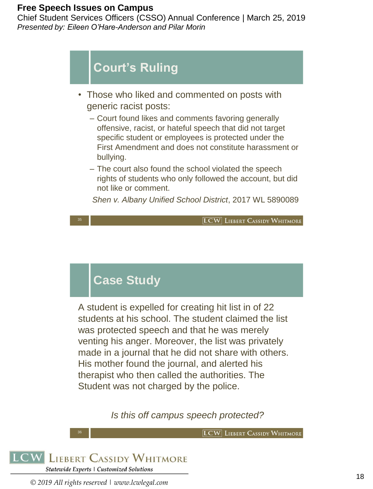35

Chief Student Services Officers (CSSO) Annual Conference | March 25, 2019 *Presented by: Eileen O'Hare-Anderson and Pilar Morin*

## **Court's Ruling**

- Those who liked and commented on posts with generic racist posts:
	- Court found likes and comments favoring generally offensive, racist, or hateful speech that did not target specific student or employees is protected under the First Amendment and does not constitute harassment or bullying.
	- The court also found the school violated the speech rights of students who only followed the account, but did not like or comment.

*Shen v. Albany Unified School District*, 2017 WL 5890089

[LCW] LIEBERT CASSIDY WHITMORE

## **Case Study**

A student is expelled for creating hit list in of 22 students at his school. The student claimed the list was protected speech and that he was merely venting his anger. Moreover, the list was privately made in a journal that he did not share with others. His mother found the journal, and alerted his therapist who then called the authorities. The Student was not charged by the police.

*Is this off campus speech protected?* 

**LCW** LIEBERT CASSIDY WHITMORE

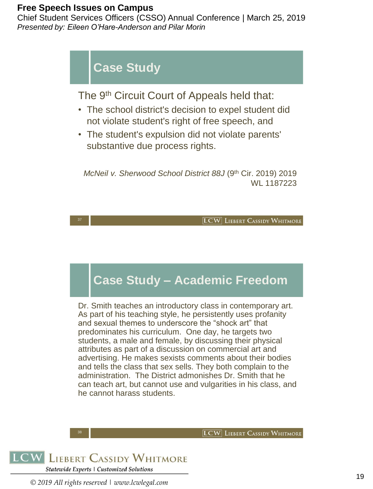Chief Student Services Officers (CSSO) Annual Conference | March 25, 2019 *Presented by: Eileen O'Hare-Anderson and Pilar Morin*



### **Case Study – Academic Freedom**

Dr. Smith teaches an introductory class in contemporary art. As part of his teaching style, he persistently uses profanity and sexual themes to underscore the "shock art" that predominates his curriculum. One day, he targets two students, a male and female, by discussing their physical attributes as part of a discussion on commercial art and advertising. He makes sexists comments about their bodies and tells the class that sex sells. They both complain to the administration. The District admonishes Dr. Smith that he can teach art, but cannot use and vulgarities in his class, and he cannot harass students.

**LCW** LIEBERT CASSIDY WHITMORE



38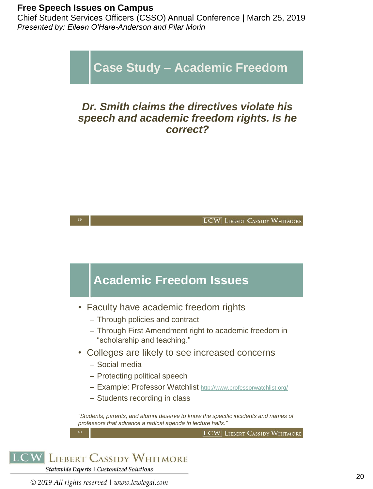Chief Student Services Officers (CSSO) Annual Conference | March 25, 2019 *Presented by: Eileen O'Hare-Anderson and Pilar Morin*

**Case Study – Academic Freedom**

#### *Dr. Smith claims the directives violate his speech and academic freedom rights. Is he correct?*



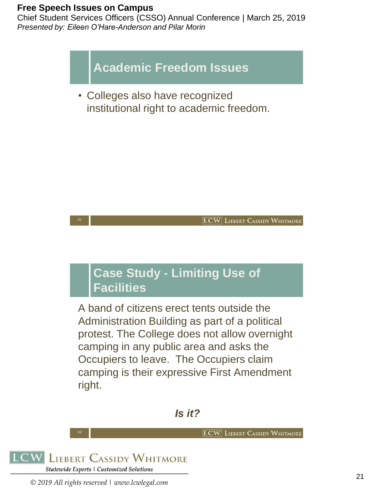41

Chief Student Services Officers (CSSO) Annual Conference | March 25, 2019 *Presented by: Eileen O'Hare-Anderson and Pilar Morin*



• Colleges also have recognized institutional right to academic freedom.



### **Case Study - Limiting Use of Facilities**

A band of citizens erect tents outside the Administration Building as part of a political protest. The College does not allow overnight camping in any public area and asks the Occupiers to leave. The Occupiers claim camping is their expressive First Amendment right.

#### *Is it?*

**LCW** LIEBERT CASSIDY WHITMORE



42